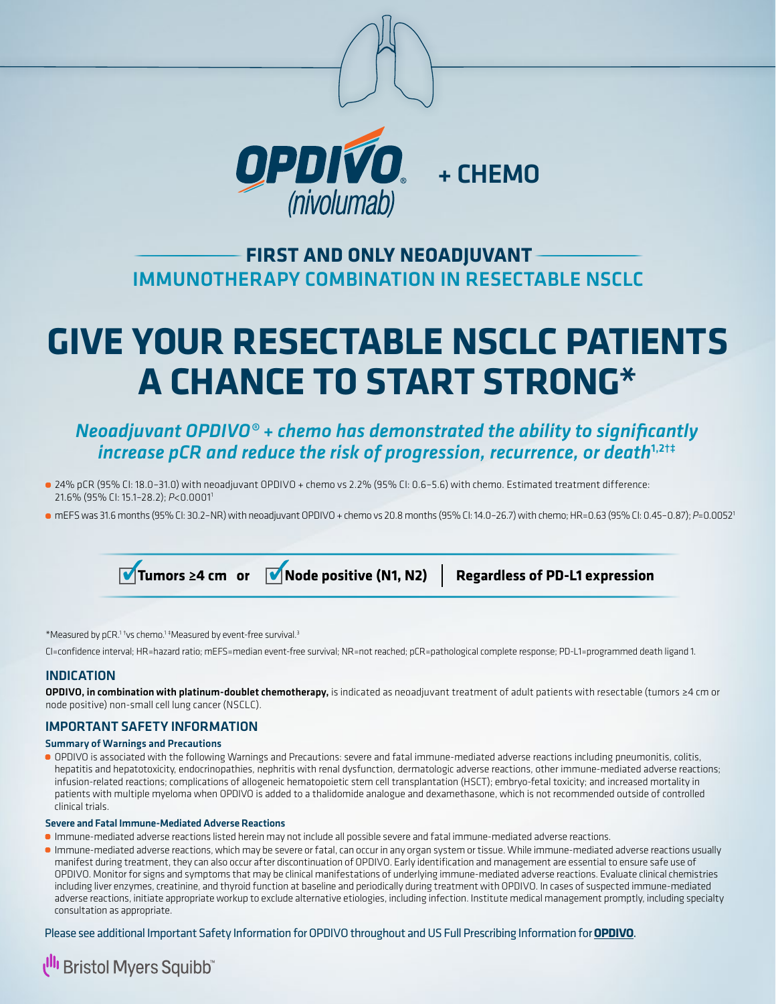

# IMMUNOTHERAPY COMBINATION IN RESECTABLE NSCLC **FIRST AND ONLY NEOADJUVANT**

# **GIVE YOUR RESECTABLE NSCLC PATIENTS A CHANCE TO START STRONG\***

## *Neoadjuvant OPDIVO® + chemo has demonstrated the ability to significantly increase pCR and reduce the risk of progression, recurrence, or death*<sup>1,2†‡</sup>

- 24% pCR (95% CI: 18.0–31.0) with neoadjuvant OPDIVO + chemo vs 2.2% (95% CI: 0.6–5.6) with chemo. Estimated treatment difference: 21.6% (95% CI: 15.1–28.2); *P*<0.00011
- mEFS was 31.6 months (95% CI: 30.2-NR) with neoadjuvant OPDIVO + chemo vs 20.8 months (95% CI: 14.0-26.7) with chemo; HR=0.63 (95% CI: 0.45-0.87); *P*=0.0052<sup>1</sup>

 $\blacksquare$  Tumors ≥4 cm or  $\blacksquare$  Node positive (N1, N2) Regardless of PD-L1 expression

\*Measured by pCR.<sup>1 t</sup>vs chemo.<sup>1 ‡</sup>Measured by event-free survival.<sup>3</sup>

CI=confidence interval; HR=hazard ratio; mEFS=median event-free survival; NR=not reached; pCR=pathological complete response; PD-L1=programmed death ligand 1.

## INDICATION

OPDIVO, in combination with platinum-doublet chemotherapy, is indicated as neoadjuvant treatment of adult patients with resectable (tumors ≥4 cm or node positive) non-small cell lung cancer (NSCLC).

## IMPORTANT SAFETY INFORMATION

#### Summary of Warnings and Precautions

OPDIVO is associated with the following Warnings and Precautions: severe and fatal immune-mediated adverse reactions including pneumonitis, colitis, hepatitis and hepatotoxicity, endocrinopathies, nephritis with renal dysfunction, dermatologic adverse reactions, other immune-mediated adverse reactions; infusion-related reactions; complications of allogeneic hematopoietic stem cell transplantation (HSCT); embryo-fetal toxicity; and increased mortality in patients with multiple myeloma when OPDIVO is added to a thalidomide analogue and dexamethasone, which is not recommended outside of controlled clinical trials.

#### Severe and Fatal Immune-Mediated Adverse Reactions

- Immune-mediated adverse reactions listed herein may not include all possible severe and fatal immune-mediated adverse reactions.
- Immune-mediated adverse reactions, which may be severe or fatal, can occur in any organ system or tissue. While immune-mediated adverse reactions usually manifest during treatment, they can also occur after discontinuation of OPDIVO. Early identification and management are essential to ensure safe use of OPDIVO. Monitor for signs and symptoms that may be clinical manifestations of underlying immune-mediated adverse reactions. Evaluate clinical chemistries including liver enzymes, creatinine, and thyroid function at baseline and periodically during treatment with OPDIVO. In cases of suspected immune-mediated adverse reactions, initiate appropriate workup to exclude alternative etiologies, including infection. Institute medical management promptly, including specialty consultation as appropriate.

Please see additional Important Safety Information for OPDIVO throughout and US Full Prescribing Information for **[OPDIVO](https://packageinserts.bms.com/pi/pi_opdivo.pdf)**.

# **I<sup>II</sup>I** Bristol Myers Squibb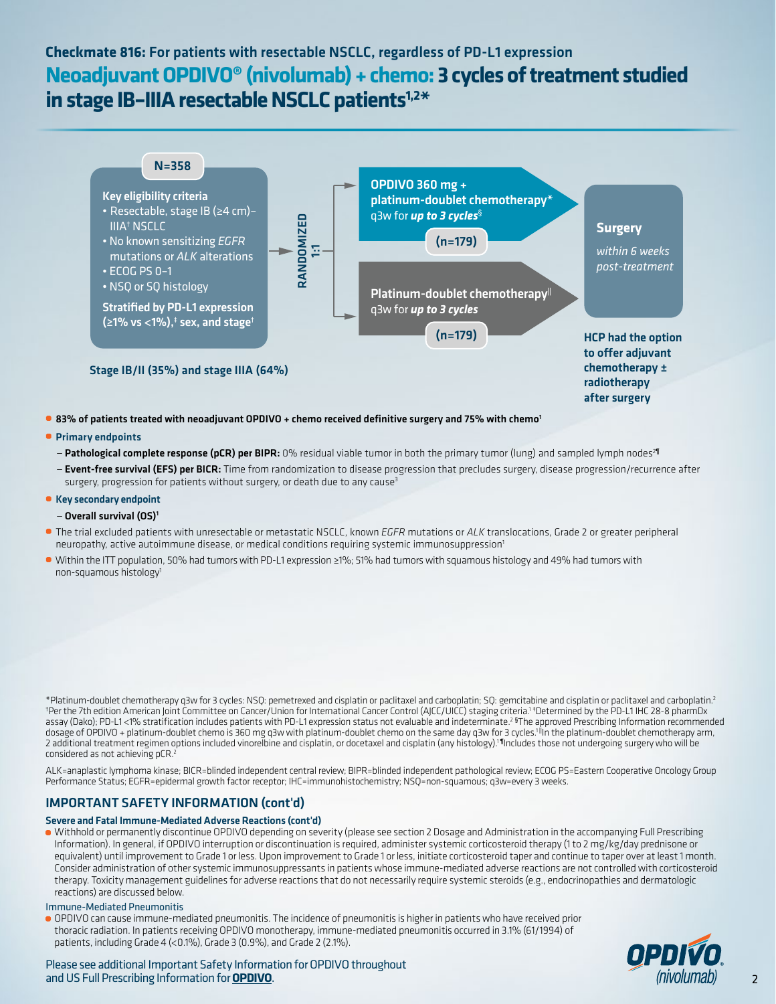## **Checkmate 816:** For patients with resectable NSCLC, regardless of PD-L1 expression **Neoadjuvant OPDIVO® (nivolumab) + chemo: 3 cycles of treatment studied in stage IB–IIIA resectable NSCLC patients1,2\***



## Primary endpoints

- Pathological complete response (pCR) per BIPR: 0% residual viable tumor in both the primary tumor (lung) and sampled lymph nodes<sup>2¶</sup>
- Event-free survival (EFS) per BICR: Time from randomization to disease progression that precludes surgery, disease progression/recurrence after surgery, progression for patients without surgery, or death due to any cause<sup>3</sup>

## Key secondary endpoint

- Overall survival (OS)1
- The trial excluded patients with unresectable or metastatic NSCLC, known *EGFR* mutations or *ALK* translocations, Grade 2 or greater peripheral neuropathy, active autoimmune disease, or medical conditions requiring systemic immunosuppression<sup>1</sup>
- Within the ITT population, 50% had tumors with PD-L1 expression ≥1%; 51% had tumors with squamous histology and 49% had tumors with non-squamous histology1

\*Platinum-doublet chemotherapy q3w for 3 cycles: NSQ: pemetrexed and cisplatin or paclitaxel and carboplatin; SQ: gemcitabine and cisplatin or paclitaxel and carboplatin.2 † Per the 7th edition American Joint Committee on Cancer/Union for International Cancer Control (AJCC/UICC) staging criteria.1 ‡ Determined by the PD-L1 IHC 28-8 pharmDx assay (Dako); PD-L1 <1% stratification includes patients with PD-L1 expression status not evaluable and indeterminate.<sup>2 §</sup>The approved Prescribing Information recommended dosage of OPDIVO + platinum-doublet chemo is 360 mg q3w with platinum-doublet chemo on the same day q3w for 3 cycles.<sup>1 il</sup>in the platinum-doublet chemotherapy arm, 2 additional treatment regimen options included vinorelbine and cisplatin, or docetaxel and cisplatin (any histology).1 ¶Includes those not undergoing surgery who will be considered as not achieving pCR.<sup>2</sup>

ALK=anaplastic lymphoma kinase; BICR=blinded independent central review; BIPR=blinded independent pathological review; ECOG PS=Eastern Cooperative Oncology Group Performance Status; EGFR=epidermal growth factor receptor; IHC=immunohistochemistry; NSQ=non-squamous; q3w=every 3 weeks.

## IMPORTANT SAFETY INFORMATION (cont'd)

#### Severe and Fatal Immune-Mediated Adverse Reactions (cont'd)

Withhold or permanently discontinue OPDIVO depending on severity (please see section 2 Dosage and Administration in the accompanying Full Prescribing Information). In general, if OPDIVO interruption or discontinuation is required, administer systemic corticosteroid therapy (1 to 2 mg/kg/day prednisone or equivalent) until improvement to Grade 1 or less. Upon improvement to Grade 1 or less, initiate corticosteroid taper and continue to taper over at least 1 month. Consider administration of other systemic immunosuppressants in patients whose immune-mediated adverse reactions are not controlled with corticosteroid therapy. Toxicity management guidelines for adverse reactions that do not necessarily require systemic steroids (e.g., endocrinopathies and dermatologic reactions) are discussed below.

#### Immune-Mediated Pneumonitis

OPDIVO can cause immune-mediated pneumonitis. The incidence of pneumonitis is higher in patients who have received prior thoracic radiation. In patients receiving OPDIVO monotherapy, immune-mediated pneumonitis occurred in 3.1% (61/1994) of patients, including Grade 4 (<0.1%), Grade 3 (0.9%), and Grade 2 (2.1%).



Please see additional Important Safety Information for OPDIVO throughout and US Full Prescribing Information for **[OPDIVO](https://packageinserts.bms.com/pi/pi_opdivo.pdf)**.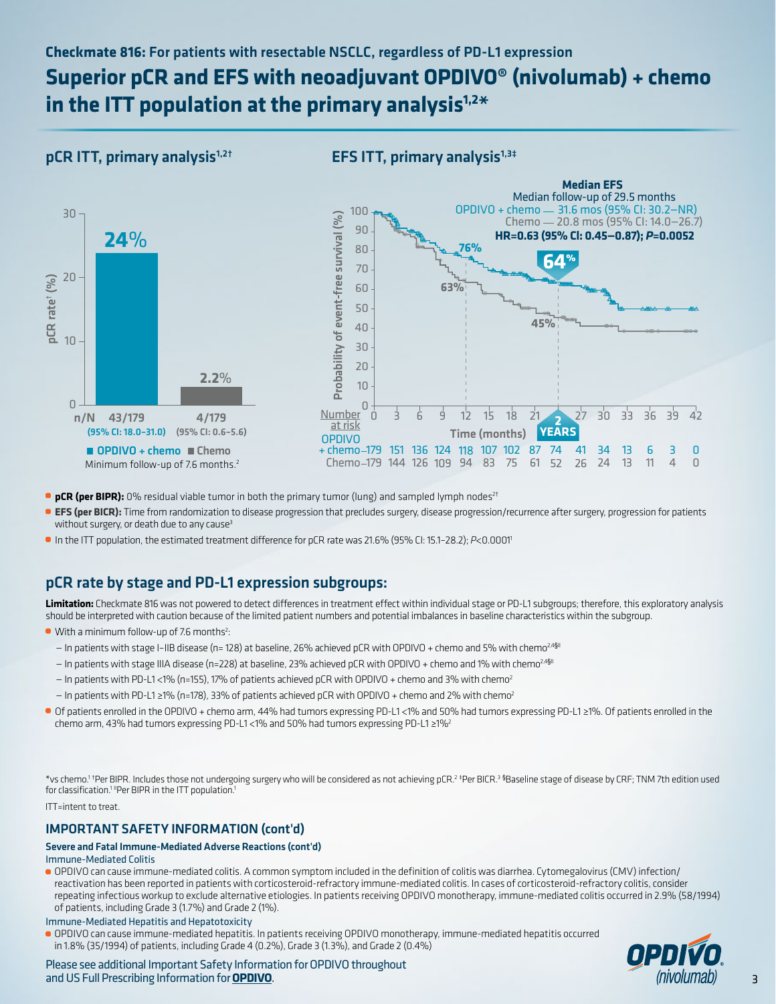## **Checkmate 816:** For patients with resectable NSCLC, regardless of PD-L1 expression

# **Superior pCR and EFS with neoadjuvant OPDIVO® (nivolumab) + chemo in the ITT population at the primary analysis1,2\***

## $pCR$  ITT, primary analysis<sup>1,2†</sup>

# and US Full Prescribing Information for BEFU in the BEFU information for Cape CI (3.22%)<br>
and n/N 43/179 (95% CL: 18.0-31.0) (95% CL: 0.6-5.6)<br>
■ [OPDIVO](https://packageinserts.bms.com/pi/pi_opdivo.pdf) + chemo ■ Chemo<br>
Minimum follow-up of 7.6 months.<sup>7</sup><br>
■ **CFR (see BI** n/N 43/179 4/179 (95% <sup>C</sup>I:18.0–31.0) (95% <sup>C</sup>I: 0.6–5.6) 43/179 10 20 0 30 **24**% **2.2**%  $\blacksquare$  OPDIVO + chemo  $\blacksquare$  Chemo 10 -<br>
0<br>
n/N 43/179 - 4/179<br>
(95% Cl: 18.0-31.0) (95% Cl: 0.6-5.6<br>
■ OPDIVO + chemo ■ Chemo<br>
Minimum follow-up of 7.6 months.<sup>2</sup>  $(95.0, 18.0, 0)$  (95%)  $(95.0, 0.0, 0.5)$ n/N 4/179 10 20  $n/N$ 30 Minimum follow-up of 7.6 months Minimum follow-up of 7.6 months.2

## EFS ITT, primary analysis $1,3\pm$



- **pCR (per BIPR):** 0% residual viable tumor in both the primary tumor (lung) and sampled lymph nodes<sup>2t</sup>
- **EFS (per BICR):** Time from randomization to disease progression that precludes surgery, disease progression/recurrence after surgery, progression for patients without surgery, or death due to any cause<sup>3</sup>
- In the ITT population, the estimated treatment difference for pCR rate was 21.6% (95% CI: 15.1–28.2); *P*<0.00011

## pCR rate by stage and PD-L1 expression subgroups:

**Limitation:** Checkmate 816 was not powered to detect differences in treatment effect within individual stage or PD-L1 subgroups; therefore, this exploratory analysis should be interpreted with caution because of the limited patient numbers and potential imbalances in baseline characteristics within the subgroup.

- With a minimum follow-up of 7.6 months<sup>2</sup>:
	- In patients with stage I-IIB disease (n= 128) at baseline, 26% achieved pCR with OPDIVO + chemo and 5% with chemo<sup>2,4§II</sup>
	- In patients with stage IIIA disease (n=228) at baseline, 23% achieved pCR with OPDIVO + chemo and 1% with chemo<sup>2,4§II</sup>
	- In patients with PD-L1 <1% (n=155), 17% of patients achieved pCR with OPDIVO + chemo and 3% with chemo2
	- $-$  In patients with PD-L1 ≥1% (n=178), 33% of patients achieved pCR with OPDIVO + chemo and 2% with chemo<sup>2</sup>
- Of patients enrolled in the OPDIVO + chemo arm, 44% had tumors expressing PD-L1 <1% and 50% had tumors expressing PD-L1 ≥1%. Of patients enrolled in the chemo arm, 43% had tumors expressing PD-L1 <1% and 50% had tumors expressing PD-L1 ≥1%2

\*vs chemo.1 † Per BIPR. Includes those not undergoing surgery who will be considered as not achieving pCR.2 ‡ Per BICR.3 § Baseline stage of disease by CRF; TNM 7th edition used for classification.<sup>1</sup> "Per BIPR in the ITT population.<sup>1</sup>

ITT=intent to treat.

## IMPORTANT SAFETY INFORMATION (cont'd)

## Severe and Fatal Immune-Mediated Adverse Reactions (cont'd)

## Immune-Mediated Colitis

OPDIVO can cause immune-mediated colitis. A common symptom included in the definition of colitis was diarrhea. Cytomegalovirus (CMV) infection/ reactivation has been reported in patients with corticosteroid-refractory immune-mediated colitis. In cases of corticosteroid-refractory colitis, consider repeating infectious workup to exclude alternative etiologies. In patients receiving OPDIVO monotherapy, immune-mediated colitis occurred in 2.9% (58/1994) of patients, including Grade 3 (1.7%) and Grade 2 (1%).

Immune-Mediated Hepatitis and Hepatotoxicity

OPDIVO can cause immune-mediated hepatitis. In patients receiving OPDIVO monotherapy, immune-mediated hepatitis occurred in 1.8% (35/1994) of patients, including Grade 4 (0.2%), Grade 3 (1.3%), and Grade 2 (0.4%)

Please see additional Important Safety Information for OPDIVO throughout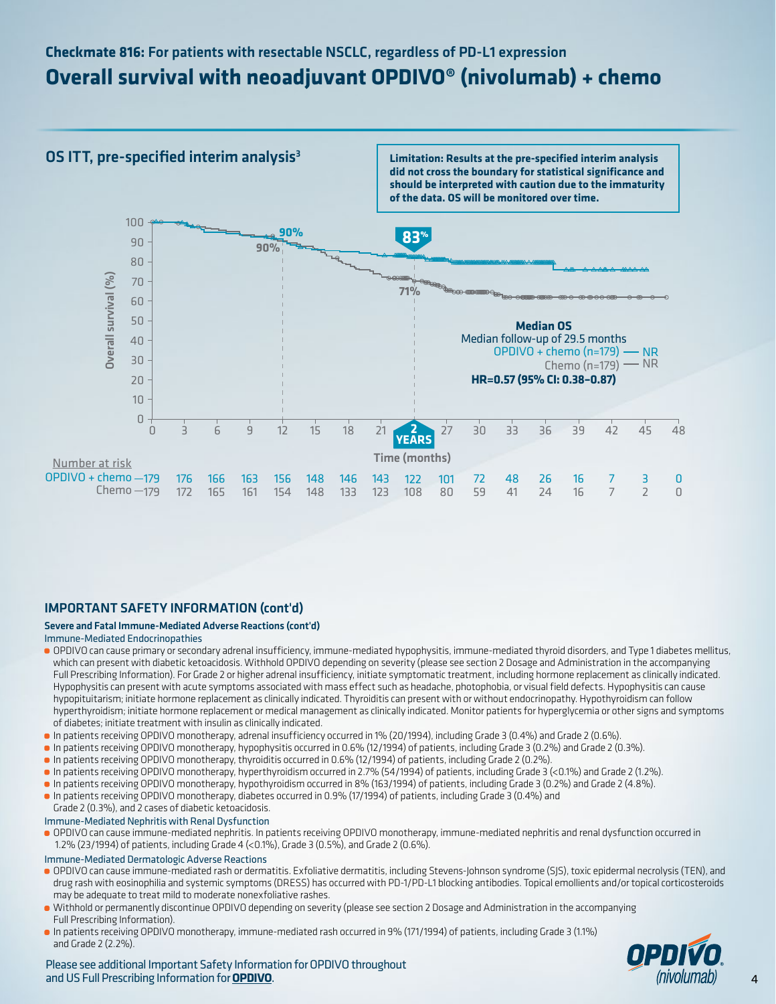# **Checkmate 816:** For patients with resectable NSCLC, regardless of PD-L1 expression **Overall survival with neoadjuvant OPDIVO® (nivolumab) + chemo**

## OS ITT, pre-specified interim analysis $^3$

**Limitation: Results at the pre-specified interim analysis did not cross the boundary for statistical significance and should be interpreted with caution due to the immaturity of the data. OS will be monitored over time.**



## IMPORTANT SAFETY INFORMATION (cont'd)

## Severe and Fatal Immune-Mediated Adverse Reactions (cont'd)

#### Immune-Mediated Endocrinopathies

- OPDIVO can cause primary or secondary adrenal insufficiency, immune-mediated hypophysitis, immune-mediated thyroid disorders, and Type 1 diabetes mellitus, which can present with diabetic ketoacidosis. Withhold OPDIVO depending on severity (please see section 2 Dosage and Administration in the accompanying Full Prescribing Information). For Grade 2 or higher adrenal insufficiency, initiate symptomatic treatment, including hormone replacement as clinically indicated. Hypophysitis can present with acute symptoms associated with mass effect such as headache, photophobia, or visual field defects. Hypophysitis can cause hypopituitarism; initiate hormone replacement as clinically indicated. Thyroiditis can present with or without endocrinopathy. Hypothyroidism can follow hyperthyroidism; initiate hormone replacement or medical management as clinically indicated. Monitor patients for hyperglycemia or other signs and symptoms of diabetes; initiate treatment with insulin as clinically indicated.
- In patients receiving OPDIVO monotherapy, adrenal insufficiency occurred in 1% (20/1994), including Grade 3 (0.4%) and Grade 2 (0.6%).
- In patients receiving OPDIVO monotherapy, hypophysitis occurred in 0.6% (12/1994) of patients, including Grade 3 (0.2%) and Grade 2 (0.3%).
- In patients receiving OPDIVO monotherapy, thyroiditis occurred in 0.6% (12/1994) of patients, including Grade 2 (0.2%).
- In patients receiving OPDIVO monotherapy, hyperthyroidism occurred in 2.7% (54/1994) of patients, including Grade 3 (<0.1%) and Grade 2 (1.2%).
- In patients receiving OPDIVO monotherapy, hypothyroidism occurred in 8% (163/1994) of patients, including Grade 3 (0.2%) and Grade 2 (4.8%).
- In patients receiving OPDIVO monotherapy, diabetes occurred in 0.9% (17/1994) of patients, including Grade 3 (0.4%) and
- Grade 2 (0.3%), and 2 cases of diabetic ketoacidosis.

## Immune-Mediated Nephritis with Renal Dysfunction

OPDIVO can cause immune-mediated nephritis. In patients receiving OPDIVO monotherapy, immune-mediated nephritis and renal dysfunction occurred in 1.2% (23/1994) of patients, including Grade 4 (<0.1%), Grade 3 (0.5%), and Grade 2 (0.6%).

### Immune-Mediated Dermatologic Adverse Reactions

- OPDIVO can cause immune-mediated rash or dermatitis. Exfoliative dermatitis, including Stevens-Johnson syndrome (SJS), toxic epidermal necrolysis (TEN), and drug rash with eosinophilia and systemic symptoms (DRESS) has occurred with PD-1/PD-L1 blocking antibodies. Topical emollients and/or topical corticosteroids may be adequate to treat mild to moderate nonexfoliative rashes.
- Withhold or permanently discontinue OPDIVO depending on severity (please see section 2 Dosage and Administration in the accompanying Full Prescribing Information).
- In patients receiving OPDIVO monotherapy, immune-mediated rash occurred in 9% (171/1994) of patients, including Grade 3 (1.1%) and Grade 2 (2.2%).



Please see additional Important Safety Information for OPDIVO throughout and US Full Prescribing Information for **[OPDIVO](https://packageinserts.bms.com/pi/pi_opdivo.pdf)**.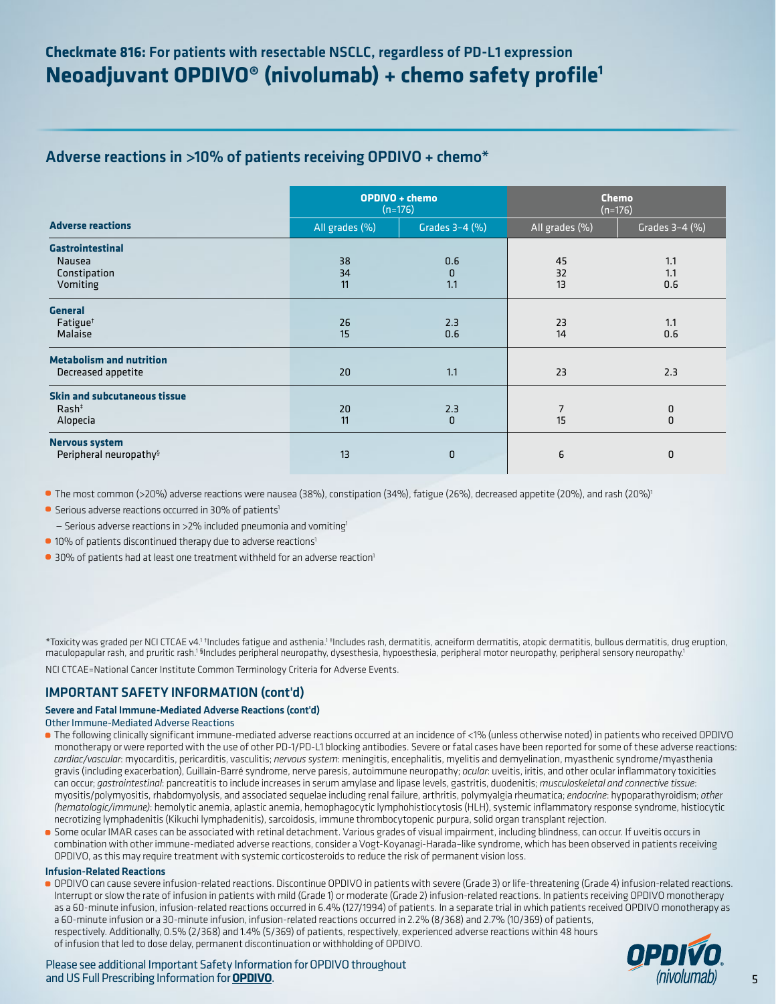## Adverse reactions in >10% of patients receiving OPDIVO + chemo\*

|                                                                      | OPDIVO + chemo<br>$(n=176)$ |                        | <b>Chemo</b><br>$(n=176)$ |                   |
|----------------------------------------------------------------------|-----------------------------|------------------------|---------------------------|-------------------|
| <b>Adverse reactions</b>                                             | All grades (%)              | Grades 3-4 (%)         | All grades (%)            | Grades 3-4 (%)    |
| <b>Gastrointestinal</b><br><b>Nausea</b><br>Constipation<br>Vomiting | 38<br>34<br>11              | 0.6<br>$\Omega$<br>1.1 | 45<br>32<br>13            | 1.1<br>1.1<br>0.6 |
| <b>General</b><br>Fatigue <sup>+</sup><br>Malaise                    | 26<br>15                    | 2.3<br>0.6             | 23<br>14                  | 1.1<br>0.6        |
| <b>Metabolism and nutrition</b><br>Decreased appetite                | 20                          | 1.1                    | 23                        | 2.3               |
| <b>Skin and subcutaneous tissue</b><br>$Rash+$<br>Alopecia           | 20<br>11                    | 2.3<br>$\Omega$        | $\overline{7}$<br>15      | 0<br>$\Omega$     |
| <b>Nervous system</b><br>Peripheral neuropathy <sup>§</sup>          | 13                          | $\overline{0}$         | 6                         | 0                 |

**The most common (>20%) adverse reactions were nausea (38%), constipation (34%), fatigue (26%), decreased appetite (20%), and rash (20%)<sup>1</sup>** 

**•** Serious adverse reactions occurred in 30% of patients<sup>1</sup>

 $-$  Serious adverse reactions in >2% included pneumonia and vomiting<sup>1</sup>

- **10% of patients discontinued therapy due to adverse reactions<sup>1</sup>**
- **•** 30% of patients had at least one treatment withheld for an adverse reaction<sup>1</sup>

\*Toxicity was graded per NCI CTCAE v4.<sup>1 †</sup>Includes fatigue and asthenia.<sup>1 ‡</sup>Includes rash, dermatitis, acneiform dermatitis, atopic dermatitis, bullous dermatitis, drug eruption, maculopapular rash, and pruritic rash.<sup>1 §</sup>Includes peripheral neuropathy, dysesthesia, hypoesthesia, peripheral motor neuropathy, peripheral sensory neuropathy.<sup>1</sup> NCI CTCAE=National Cancer Institute Common Terminology Criteria for Adverse Events.

## IMPORTANT SAFETY INFORMATION (cont'd)

### Severe and Fatal Immune-Mediated Adverse Reactions (cont'd)

### Other Immune-Mediated Adverse Reactions

- The following clinically significant immune-mediated adverse reactions occurred at an incidence of <1% (unless otherwise noted) in patients who received OPDIVO monotherapy or were reported with the use of other PD-1/PD-L1 blocking antibodies. Severe or fatal cases have been reported for some of these adverse reactions: *cardiac/vascular*: myocarditis, pericarditis, vasculitis; *nervous system*: meningitis, encephalitis, myelitis and demyelination, myasthenic syndrome/myasthenia gravis (including exacerbation), Guillain-Barré syndrome, nerve paresis, autoimmune neuropathy; *ocular*: uveitis, iritis, and other ocular inflammatory toxicities can occur; *gastrointestinal*: pancreatitis to include increases in serum amylase and lipase levels, gastritis, duodenitis; *musculoskeletal and connective tissue*: myositis/polymyositis, rhabdomyolysis, and associated sequelae including renal failure, arthritis, polymyalgia rheumatica; *endocrine*: hypoparathyroidism; *other (hematologic/immune)*: hemolytic anemia, aplastic anemia, hemophagocytic lymphohistiocytosis (HLH), systemic inflammatory response syndrome, histiocytic necrotizing lymphadenitis (Kikuchi lymphadenitis), sarcoidosis, immune thrombocytopenic purpura, solid organ transplant rejection.
- Some ocular IMAR cases can be associated with retinal detachment. Various grades of visual impairment, including blindness, can occur. If uveitis occurs in combination with other immune-mediated adverse reactions, consider a Vogt-Koyanagi-Harada–like syndrome, which has been observed in patients receiving OPDIVO, as this may require treatment with systemic corticosteroids to reduce the risk of permanent vision loss.

### Infusion-Related Reactions

OPDIVO can cause severe infusion-related reactions. Discontinue OPDIVO in patients with severe (Grade 3) or life-threatening (Grade 4) infusion-related reactions. Interrupt or slow the rate of infusion in patients with mild (Grade 1) or moderate (Grade 2) infusion-related reactions. In patients receiving OPDIVO monotherapy as a 60-minute infusion, infusion-related reactions occurred in 6.4% (127/1994) of patients. In a separate trial in which patients received OPDIVO monotherapy as a 60-minute infusion or a 30-minute infusion, infusion-related reactions occurred in 2.2% (8/368) and 2.7% (10/369) of patients, respectively. Additionally, 0.5% (2/368) and 1.4% (5/369) of patients, respectively, experienced adverse reactions within 48 hours of infusion that led to dose delay, permanent discontinuation or withholding of OPDIVO.



Please see additional Important Safety Information for OPDIVO throughout and US Full Prescribing Information for **[OPDIVO](https://packageinserts.bms.com/pi/pi_opdivo.pdf)**.